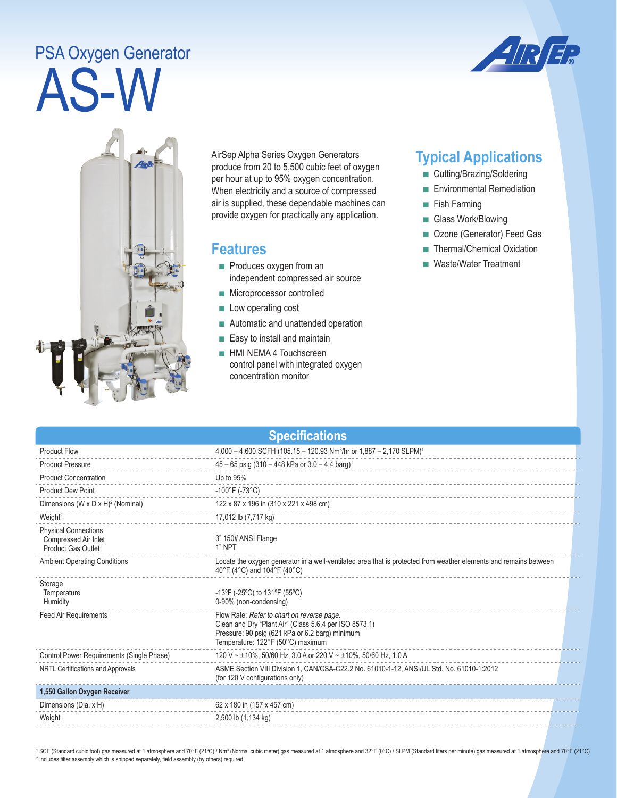## AS-W PSA Oxygen Generator





AirSep Alpha Series Oxygen Generators produce from 20 to 5,500 cubic feet of oxygen per hour at up to 95% oxygen concentration. When electricity and a source of compressed air is supplied, these dependable machines can provide oxygen for practically any application.

## **Features**

- Produces oxygen from an independent compressed air source
- Microprocessor controlled
- Low operating cost
- Automatic and unattended operation
- Easy to install and maintain
- HMI NEMA 4 Touchscreen control panel with integrated oxygen concentration monitor

## **Typical Applications**

- Cutting/Brazing/Soldering
- Environmental Remediation
- Fish Farming
- Glass Work/Blowing
- Ozone (Generator) Feed Gas
- Thermal/Chemical Oxidation
- Waste/Water Treatment

| <b>Specifications</b>                                                            |                                                                                                                                                                                              |  |  |
|----------------------------------------------------------------------------------|----------------------------------------------------------------------------------------------------------------------------------------------------------------------------------------------|--|--|
| <b>Product Flow</b>                                                              | 4,000 - 4,600 SCFH (105.15 - 120.93 Nm <sup>3</sup> /hr or 1,887 - 2,170 SLPM) <sup>1</sup>                                                                                                  |  |  |
| <b>Product Pressure</b>                                                          | $45 - 65$ psig (310 - 448 kPa or 3.0 - 4.4 barg) <sup>1</sup>                                                                                                                                |  |  |
| <b>Product Concentration</b>                                                     | Up to 95%                                                                                                                                                                                    |  |  |
| <b>Product Dew Point</b>                                                         | $-100^{\circ}$ F (-73°C)                                                                                                                                                                     |  |  |
| Dimensions (W x D x H) <sup>2</sup> (Nominal)                                    | 122 x 87 x 196 in (310 x 221 x 498 cm)                                                                                                                                                       |  |  |
| Weight <sup>2</sup>                                                              | 17,012 lb (7,717 kg)                                                                                                                                                                         |  |  |
| <b>Physical Connections</b><br>Compressed Air Inlet<br><b>Product Gas Outlet</b> | 3" 150# ANSI Flange<br>1" NPT                                                                                                                                                                |  |  |
| <b>Ambient Operating Conditions</b>                                              | Locate the oxygen generator in a well-ventilated area that is protected from weather elements and remains between<br>40°F (4°C) and 104°F (40°C)                                             |  |  |
| Storage<br>Temperature<br>Humidity                                               | -13°F (-25°C) to 131°F (55°C)<br>0-90% (non-condensing)                                                                                                                                      |  |  |
| <b>Feed Air Requirements</b>                                                     | Flow Rate: Refer to chart on reverse page.<br>Clean and Dry "Plant Air" (Class 5.6.4 per ISO 8573.1)<br>Pressure: 90 psig (621 kPa or 6.2 barg) minimum<br>Temperature: 122°F (50°C) maximum |  |  |
| Control Power Requirements (Single Phase)                                        | 120 V ~ ±10%, 50/60 Hz, 3.0 A or 220 V ~ ±10%, 50/60 Hz, 1.0 A                                                                                                                               |  |  |
| NRTL Certifications and Approvals                                                | ASME Section VIII Division 1, CAN/CSA-C22.2 No. 61010-1-12, ANSI/UL Std. No. 61010-1:2012<br>(for 120 V configurations only)                                                                 |  |  |
| 1,550 Gallon Oxygen Receiver                                                     |                                                                                                                                                                                              |  |  |
| Dimensions (Dia. x H)                                                            | 62 x 180 in (157 x 457 cm)                                                                                                                                                                   |  |  |
| Weight                                                                           | 2,500 lb (1,134 kg)                                                                                                                                                                          |  |  |

<sup>1</sup> SCF (Standard cubic foot) gas measured at 1 atmosphere and 70°F (21°C) / Nm<sup>3</sup> (Normal cubic meter) gas measured at 1 atmosphere and 32°F (0°C) / SLPM (Standard liters per minute) gas measured at 1 atmosphere and 70°F <sup>2</sup> Includes filter assembly which is shipped separately, field assembly (by others) required.